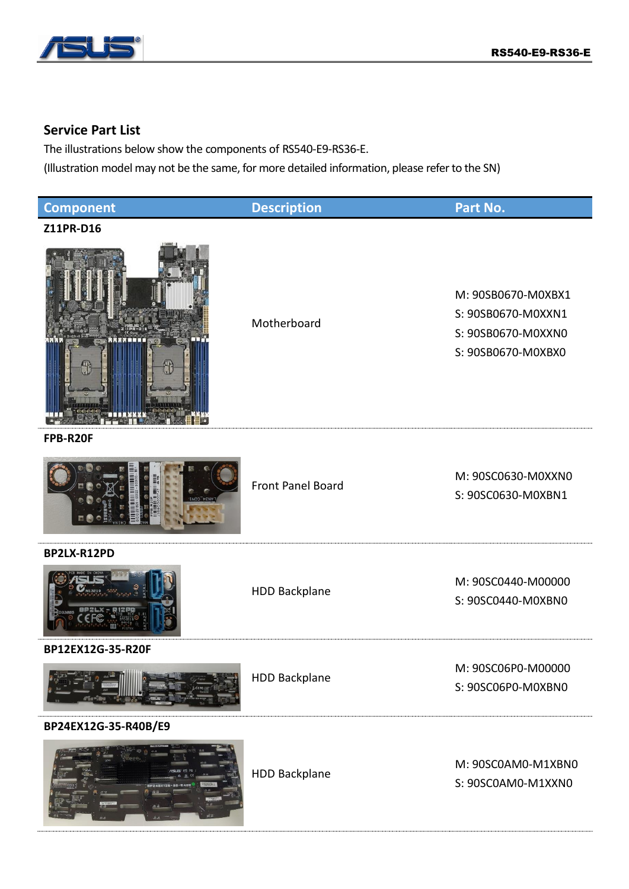

## **Service Part List**

The illustrations below show the components of RS540-E9-RS36-E.

(Illustration model may not be the same, for more detailed information, please refer to the SN)

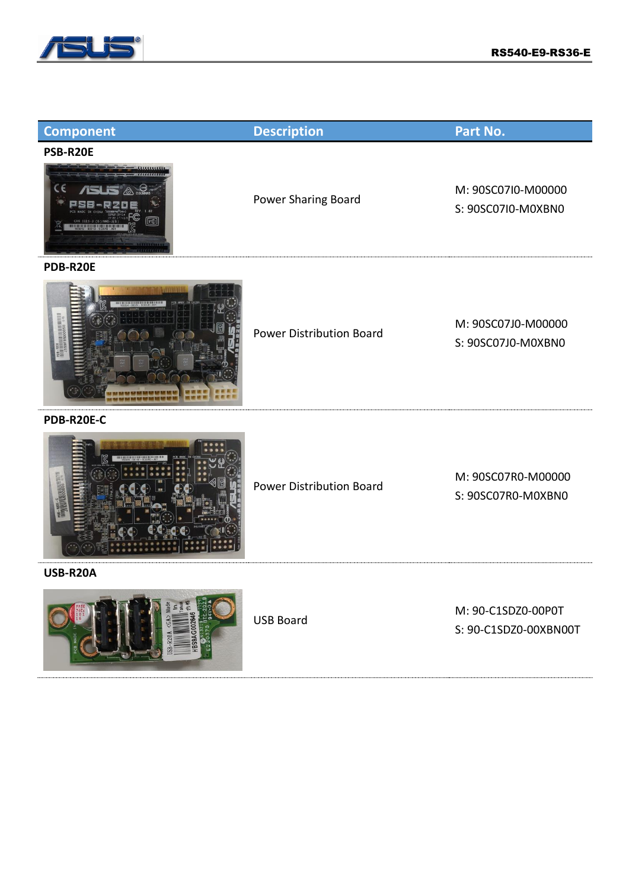

| <b>Component</b> | <b>Description</b>              | Part No.                                    |
|------------------|---------------------------------|---------------------------------------------|
| PSB-R20E         |                                 |                                             |
|                  | Power Sharing Board             | M: 90SC07I0-M00000<br>S: 90SC07I0-M0XBN0    |
| PDB-R20E         |                                 |                                             |
|                  | <b>Power Distribution Board</b> | M: 90SC07J0-M00000<br>S: 90SC07J0-M0XBN0    |
| PDB-R20E-C       |                                 |                                             |
|                  | <b>Power Distribution Board</b> | M: 90SC07R0-M00000<br>S: 90SC07R0-M0XBN0    |
| USB-R20A         |                                 |                                             |
|                  | <b>USB Board</b>                | M: 90-C1SDZ0-00P0T<br>S: 90-C1SDZ0-00XBN00T |
|                  |                                 |                                             |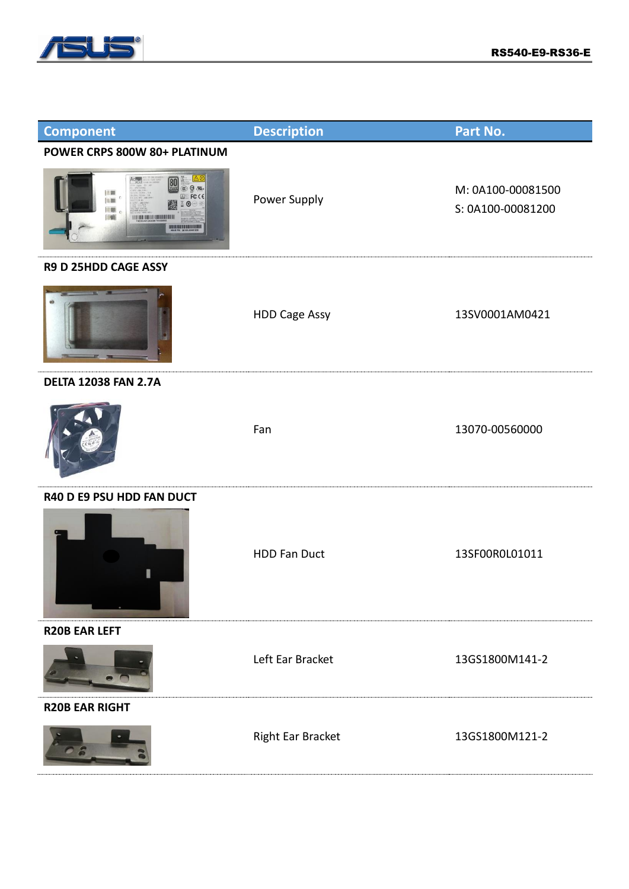

| <b>Component</b>                                                                                                                        | <b>Description</b>   | Part No.                               |
|-----------------------------------------------------------------------------------------------------------------------------------------|----------------------|----------------------------------------|
| POWER CRPS 800W 80+ PLATINUM                                                                                                            |                      |                                        |
| $u, \Theta$<br>法篇<br><b>FCCE</b><br>10,000<br>$^{\circ}$<br>旧眼<br>调<br><b><i>EXPLORATION CONTENTION</i></b><br><b>BULISLERS URE AND</b> | Power Supply         | M: 0A100-00081500<br>S: 0A100-00081200 |
| R9 D 25HDD CAGE ASSY                                                                                                                    |                      |                                        |
|                                                                                                                                         | <b>HDD Cage Assy</b> | 13SV0001AM0421                         |
| <b>DELTA 12038 FAN 2.7A</b>                                                                                                             |                      |                                        |
|                                                                                                                                         | Fan                  | 13070-00560000                         |
| R40 D E9 PSU HDD FAN DUCT                                                                                                               |                      |                                        |
|                                                                                                                                         | <b>HDD Fan Duct</b>  | 13SF00R0L01011                         |
| <b>R20B EAR LEFT</b>                                                                                                                    |                      |                                        |
|                                                                                                                                         | Left Ear Bracket     | 13GS1800M141-2                         |
| <b>R20B EAR RIGHT</b>                                                                                                                   |                      |                                        |
|                                                                                                                                         | Right Ear Bracket    | 13GS1800M121-2                         |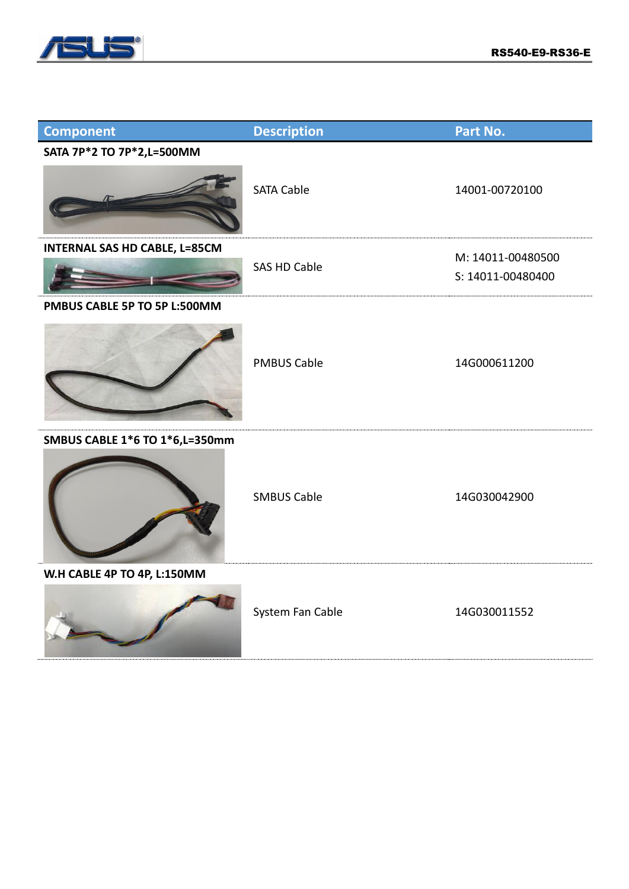

the control of the control of the control of

| <b>Component</b>                     | <b>Description</b>  | Part No.          |
|--------------------------------------|---------------------|-------------------|
| SATA 7P*2 TO 7P*2,L=500MM            |                     |                   |
|                                      | <b>SATA Cable</b>   | 14001-00720100    |
| <b>INTERNAL SAS HD CABLE, L=85CM</b> |                     | M: 14011-00480500 |
|                                      | <b>SAS HD Cable</b> | S: 14011-00480400 |
| PMBUS CABLE 5P TO 5P L:500MM         |                     |                   |
|                                      | <b>PMBUS Cable</b>  | 14G000611200      |
| SMBUS CABLE 1*6 TO 1*6, L=350mm      |                     |                   |
|                                      | <b>SMBUS Cable</b>  | 14G030042900      |
| W.H CABLE 4P TO 4P, L:150MM          |                     |                   |
|                                      | System Fan Cable    | 14G030011552      |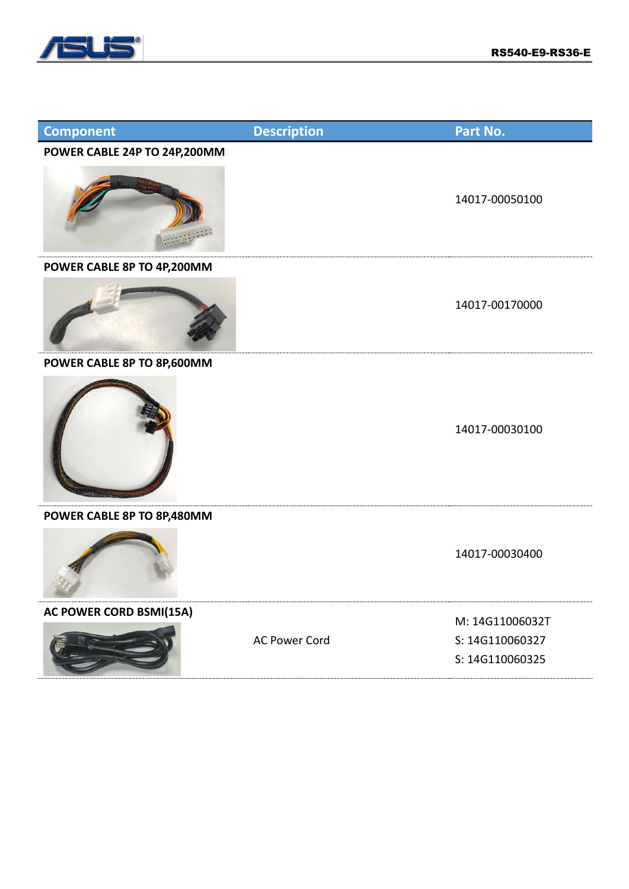